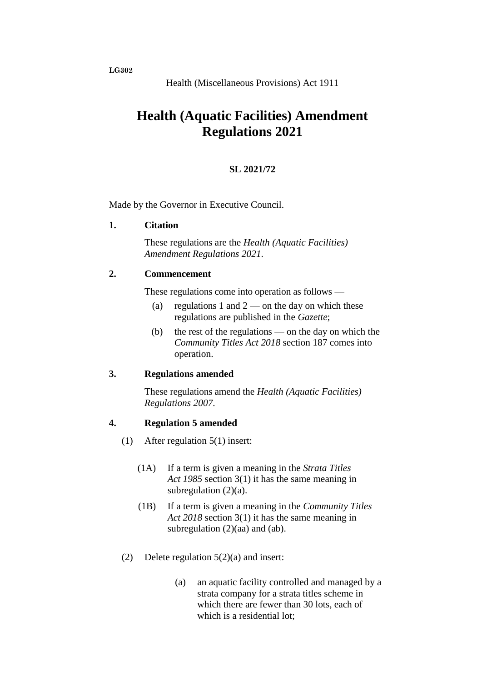**LG302**

# **Health (Aquatic Facilities) Amendment Regulations 2021**

## **SL 2021/72**

Made by the Governor in Executive Council.

#### **1. Citation**

These regulations are the *Health (Aquatic Facilities) Amendment Regulations 2021*.

## **2. Commencement**

These regulations come into operation as follows —

- (a) regulations 1 and  $2$  on the day on which these regulations are published in the *Gazette*;
- (b) the rest of the regulations on the day on which the *Community Titles Act 2018* section 187 comes into operation.

### **3. Regulations amended**

These regulations amend the *Health (Aquatic Facilities) Regulations 2007*.

#### **4. Regulation 5 amended**

- (1) After regulation 5(1) insert:
	- (1A) If a term is given a meaning in the *Strata Titles Act 1985* section 3(1) it has the same meaning in subregulation  $(2)(a)$ .
	- (1B) If a term is given a meaning in the *Community Titles Act 2018* section 3(1) it has the same meaning in subregulation  $(2)(aa)$  and  $(ab)$ .
- (2) Delete regulation 5(2)(a) and insert:
	- (a) an aquatic facility controlled and managed by a strata company for a strata titles scheme in which there are fewer than 30 lots, each of which is a residential lot;